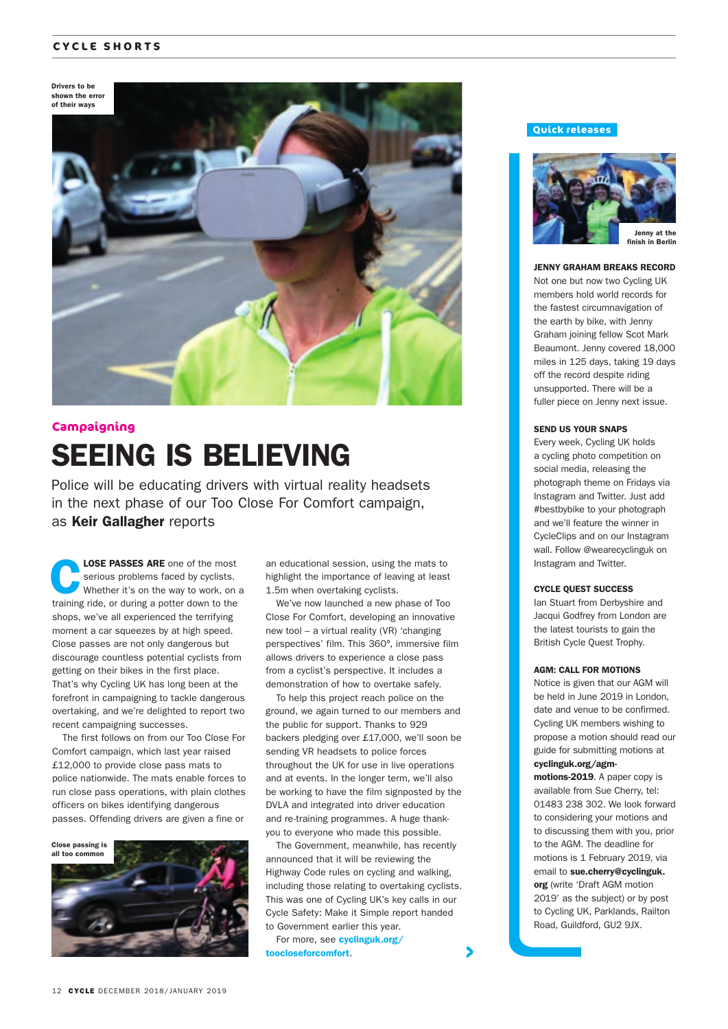#### **CYCLE SHORTS**

Drivers to be shown the error



## SEEING IS BELIEVING **Campaigning**

Police will be educating drivers with virtual reality headsets in the next phase of our Too Close For Comfort campaign, as Keir Gallagher reports

LOSE PASSES ARE one of the most serious problems faced by cyclists. Whether it's on the way to work, on a training ride, or during a potter down to the shops, we've all experienced the terrifying moment a car squeezes by at high speed. Close passes are not only dangerous but discourage countless potential cyclists from getting on their bikes in the first place. That's why Cycling UK has long been at the forefront in campaigning to tackle dangerous overtaking, and we're delighted to report two recent campaigning successes.

The first follows on from our Too Close For Comfort campaign, which last year raised £12,000 to provide close pass mats to police nationwide. The mats enable forces to run close pass operations, with plain clothes officers on bikes identifying dangerous passes. Offending drivers are given a fine or



an educational session, using the mats to highlight the importance of leaving at least 1.5m when overtaking cyclists.

We've now launched a new phase of Too Close For Comfort, developing an innovative new tool – a virtual reality (VR) 'changing perspectives' film. This 360°, immersive film allows drivers to experience a close pass from a cyclist's perspective. It includes a demonstration of how to overtake safely.

To help this project reach police on the ground, we again turned to our members and the public for support. Thanks to 929 backers pledging over £17,000, we'll soon be sending VR headsets to police forces throughout the UK for use in live operations and at events. In the longer term, we'll also be working to have the film signposted by the DVLA and integrated into driver education and re-training programmes. A huge thankyou to everyone who made this possible.

The Government, meanwhile, has recently announced that it will be reviewing the Highway Code rules on cycling and walking, including those relating to overtaking cyclists. This was one of Cycling UK's key calls in our Cycle Safety: Make it Simple report handed to Government earlier this year.

For more, see **cyclinguk.org/** toocloseforcomfort.

#### **Quick releases**



#### JENNY GRAHAM BREAKS RECORD

Not one but now two Cycling UK members hold world records for the fastest circumnavigation of the earth by bike, with Jenny Graham joining fellow Scot Mark Beaumont. Jenny covered 18,000 miles in 125 days, taking 19 days off the record despite riding unsupported. There will be a fuller piece on Jenny next issue.

#### SEND US YOUR SNAPS

Every week, Cycling UK holds a cycling photo competition on social media, releasing the photograph theme on Fridays via Instagram and Twitter. Just add #bestbybike to your photograph and we'll feature the winner in CycleClips and on our Instagram wall. Follow @wearecyclinguk on Instagram and Twitter.

#### CYCLE QUEST SUCCESS

Ian Stuart from Derbyshire and Jacqui Godfrey from London are the latest tourists to gain the British Cycle Quest Trophy.

#### AGM: CALL FOR MOTIONS

Notice is given that our AGM will be held in June 2019 in London, date and venue to be confirmed. Cycling UK members wishing to propose a motion should read our guide for submitting motions at cyclinguk.org/agm-

motions-2019. A paper copy is available from Sue Cherry, tel: 01483 238 302. We look forward to considering your motions and to discussing them with you, prior to the AGM. The deadline for motions is 1 February 2019, via email to sue.cherry@cyclinguk. org (write 'Draft AGM motion 2019' as the subject) or by post to Cycling UK, Parklands, Railton Road, Guildford, GU2 9JX.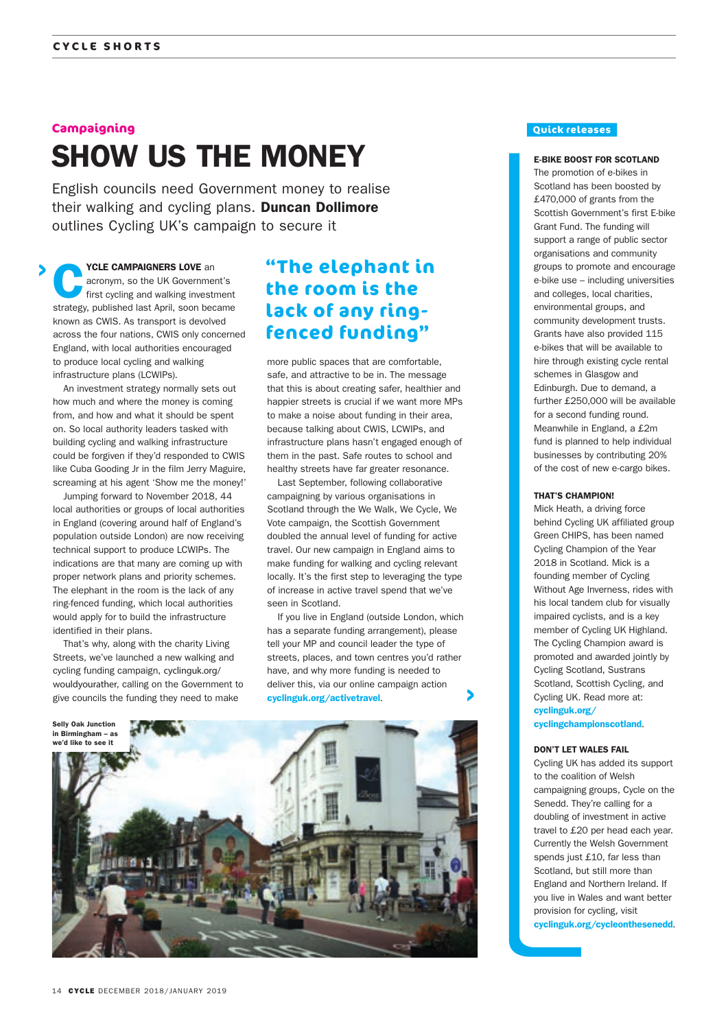#### **Campaigning**

# SHOW US THE MONEY

English councils need Government money to realise their walking and cycling plans. **Duncan Dollimore** outlines Cycling UK's campaign to secure it

YCLE CAMPAIGNERS LOVE an acronym, so the UK Government's first cycling and walking investment strategy, published last April, soon became known as CWIS. As transport is devolved across the four nations, CWIS only concerned England, with local authorities encouraged to produce local cycling and walking infrastructure plans (LCWIPs).

An investment strategy normally sets out how much and where the money is coming from, and how and what it should be spent on. So local authority leaders tasked with building cycling and walking infrastructure could be forgiven if they'd responded to CWIS like Cuba Gooding Jr in the film Jerry Maguire, screaming at his agent 'Show me the money!'

Jumping forward to November 2018, 44 local authorities or groups of local authorities in England (covering around half of England's population outside London) are now receiving technical support to produce LCWIPs. The indications are that many are coming up with proper network plans and priority schemes. The elephant in the room is the lack of any ring-fenced funding, which local authorities would apply for to build the infrastructure identified in their plans.

That's why, along with the charity Living Streets, we've launched a new walking and cycling funding campaign, cyclinguk.org/ wouldyourather, calling on the Government to give councils the funding they need to make

### **"The elephant in the room is the lack of any ringfenced funding"**

more public spaces that are comfortable safe, and attractive to be in. The message that this is about creating safer, healthier and happier streets is crucial if we want more MPs to make a noise about funding in their area, because talking about CWIS, LCWIPs, and infrastructure plans hasn't engaged enough of them in the past. Safe routes to school and healthy streets have far greater resonance.

Last September, following collaborative campaigning by various organisations in Scotland through the We Walk, We Cycle, We Vote campaign, the Scottish Government doubled the annual level of funding for active travel. Our new campaign in England aims to make funding for walking and cycling relevant locally. It's the first step to leveraging the type of increase in active travel spend that we've seen in Scotland.

If you live in England (outside London, which has a separate funding arrangement), please tell your MP and council leader the type of streets, places, and town centres you'd rather have, and why more funding is needed to deliver this, via our online campaign action cyclinguk.org/activetravel.



#### **Quick releases**

#### E-BIKE BOOST FOR SCOTLAND

The promotion of e-bikes in Scotland has been boosted by £470,000 of grants from the Scottish Government's first E-bike Grant Fund. The funding will support a range of public sector organisations and community groups to promote and encourage e-bike use – including universities and colleges, local charities, environmental groups, and community development trusts. Grants have also provided 115 e-bikes that will be available to hire through existing cycle rental schemes in Glasgow and Edinburgh. Due to demand, a further £250,000 will be available for a second funding round. Meanwhile in England, a £2m fund is planned to help individual businesses by contributing 20% of the cost of new e-cargo bikes.

#### THAT'S CHAMPION!

Mick Heath, a driving force behind Cycling UK affiliated group Green CHIPS, has been named Cycling Champion of the Year 2018 in Scotland. Mick is a founding member of Cycling Without Age Inverness, rides with his local tandem club for visually impaired cyclists, and is a key member of Cycling UK Highland. The Cycling Champion award is promoted and awarded jointly by Cycling Scotland, Sustrans Scotland, Scottish Cycling, and Cycling UK. Read more at: cyclinguk.org/

#### cyclingchampionscotland.

#### DON'T LET WALES FAIL

Cycling UK has added its support to the coalition of Welsh campaigning groups, Cycle on the Senedd. They're calling for a doubling of investment in active travel to £20 per head each year. Currently the Welsh Government spends just £10, far less than Scotland, but still more than England and Northern Ireland. If you live in Wales and want better provision for cycling, visit cyclinguk.org/cycleonthesenedd.